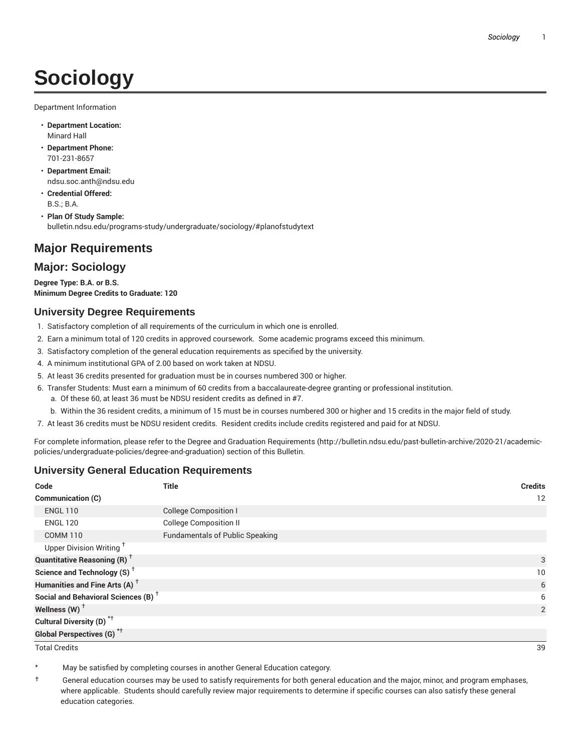# **Sociology**

Department Information

- **Department Location:** Minard Hall
- **Department Phone:** 701-231-8657
- **Department Email:** ndsu.soc.anth@ndsu.edu
- **Credential Offered:** B.S.; B.A.
- **Plan Of Study Sample:** bulletin.ndsu.edu/programs-study/undergraduate/sociology/#planofstudytext

## **Major Requirements**

## **Major: Sociology**

**Degree Type: B.A. or B.S. Minimum Degree Credits to Graduate: 120**

#### **University Degree Requirements**

- 1. Satisfactory completion of all requirements of the curriculum in which one is enrolled.
- 2. Earn a minimum total of 120 credits in approved coursework. Some academic programs exceed this minimum.
- 3. Satisfactory completion of the general education requirements as specified by the university.
- 4. A minimum institutional GPA of 2.00 based on work taken at NDSU.
- 5. At least 36 credits presented for graduation must be in courses numbered 300 or higher.
- 6. Transfer Students: Must earn a minimum of 60 credits from a baccalaureate-degree granting or professional institution.
	- a. Of these 60, at least 36 must be NDSU resident credits as defined in #7.
	- b. Within the 36 resident credits, a minimum of 15 must be in courses numbered 300 or higher and 15 credits in the major field of study.
- 7. At least 36 credits must be NDSU resident credits. Resident credits include credits registered and paid for at NDSU.

For complete information, please refer to the Degree and Graduation Requirements (http://bulletin.ndsu.edu/past-bulletin-archive/2020-21/academicpolicies/undergraduate-policies/degree-and-graduation) section of this Bulletin.

### **University General Education Requirements**

| Code                                            | <b>Title</b>                           | <b>Credits</b> |
|-------------------------------------------------|----------------------------------------|----------------|
| Communication (C)                               |                                        | 12             |
| <b>ENGL 110</b>                                 | <b>College Composition I</b>           |                |
| <b>ENGL 120</b>                                 | <b>College Composition II</b>          |                |
| <b>COMM 110</b>                                 | <b>Fundamentals of Public Speaking</b> |                |
| Upper Division Writing <sup>+</sup>             |                                        |                |
| <b>Quantitative Reasoning (R)</b> <sup>†</sup>  |                                        | 3              |
| Science and Technology (S) <sup>+</sup>         |                                        | 10             |
| Humanities and Fine Arts (A) <sup>+</sup>       |                                        | 6              |
| Social and Behavioral Sciences (B) <sup>+</sup> |                                        | 6              |
| Wellness $(W)$ <sup>+</sup>                     |                                        | 2              |
| Cultural Diversity (D) <sup>*†</sup>            |                                        |                |
| <b>Global Perspectives (G)<sup>*†</sup></b>     |                                        |                |

Total Credits 39

May be satisfied by completing courses in another General Education category.

† General education courses may be used to satisfy requirements for both general education and the major, minor, and program emphases, where applicable. Students should carefully review major requirements to determine if specific courses can also satisfy these general education categories.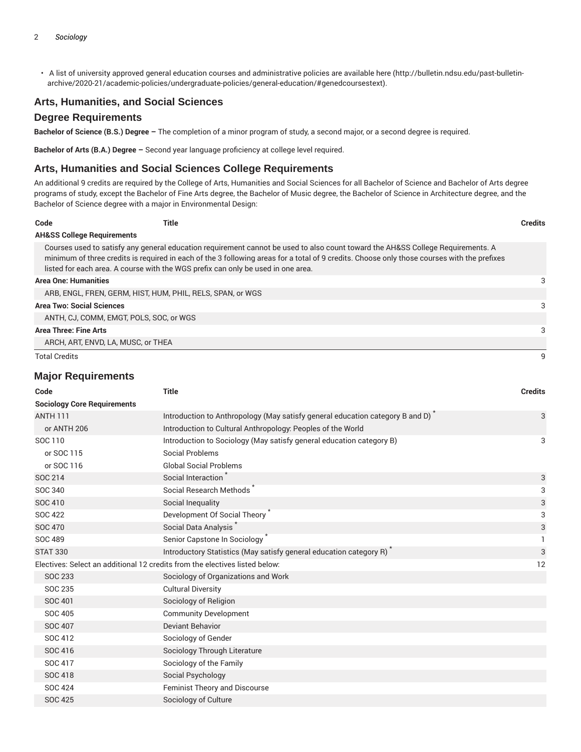• A list of university approved general education courses and administrative policies are available here (http://bulletin.ndsu.edu/past-bulletinarchive/2020-21/academic-policies/undergraduate-policies/general-education/#genedcoursestext).

#### **Arts, Humanities, and Social Sciences**

#### **Degree Requirements**

**Bachelor of Science (B.S.) Degree –** The completion of a minor program of study, a second major, or a second degree is required.

**Bachelor of Arts (B.A.) Degree –** Second year language proficiency at college level required.

#### **Arts, Humanities and Social Sciences College Requirements**

An additional 9 credits are required by the College of Arts, Humanities and Social Sciences for all Bachelor of Science and Bachelor of Arts degree programs of study, except the Bachelor of Fine Arts degree, the Bachelor of Music degree, the Bachelor of Science in Architecture degree, and the Bachelor of Science degree with a major in Environmental Design:

| Code                 | Title                                                                                                                                                                                                                                                                                                                                                              | <b>Credits</b> |
|----------------------|--------------------------------------------------------------------------------------------------------------------------------------------------------------------------------------------------------------------------------------------------------------------------------------------------------------------------------------------------------------------|----------------|
|                      | <b>AH&amp;SS College Requirements</b>                                                                                                                                                                                                                                                                                                                              |                |
|                      | Courses used to satisfy any general education requirement cannot be used to also count toward the AH&SS College Requirements. A<br>minimum of three credits is required in each of the 3 following areas for a total of 9 credits. Choose only those courses with the prefixes<br>listed for each area. A course with the WGS prefix can only be used in one area. |                |
|                      | <b>Area One: Humanities</b>                                                                                                                                                                                                                                                                                                                                        | 3              |
|                      | ARB, ENGL, FREN, GERM, HIST, HUM, PHIL, RELS, SPAN, or WGS                                                                                                                                                                                                                                                                                                         |                |
|                      | <b>Area Two: Social Sciences</b>                                                                                                                                                                                                                                                                                                                                   | 3              |
|                      | ANTH, CJ, COMM, EMGT, POLS, SOC, or WGS                                                                                                                                                                                                                                                                                                                            |                |
|                      | <b>Area Three: Fine Arts</b>                                                                                                                                                                                                                                                                                                                                       | 3              |
|                      | ARCH, ART, ENVD, LA, MUSC, or THEA                                                                                                                                                                                                                                                                                                                                 |                |
| <b>Total Credits</b> |                                                                                                                                                                                                                                                                                                                                                                    | q              |

#### **Major Requirements**

| Code                                                                        | <b>Title</b>                                                                  | <b>Credits</b> |
|-----------------------------------------------------------------------------|-------------------------------------------------------------------------------|----------------|
| <b>Sociology Core Requirements</b>                                          |                                                                               |                |
| <b>ANTH 111</b>                                                             | Introduction to Anthropology (May satisfy general education category B and D) | 3              |
| or ANTH 206                                                                 | Introduction to Cultural Anthropology: Peoples of the World                   |                |
| SOC 110                                                                     | Introduction to Sociology (May satisfy general education category B)          | 3              |
| or SOC 115                                                                  | Social Problems                                                               |                |
| or SOC 116                                                                  | <b>Global Social Problems</b>                                                 |                |
| SOC 214                                                                     | Social Interaction                                                            | 3              |
| SOC 340                                                                     | Social Research Methods                                                       | 3              |
| SOC 410                                                                     | Social Inequality                                                             | 3              |
| <b>SOC 422</b>                                                              | Development Of Social Theory                                                  | 3              |
| <b>SOC 470</b>                                                              | Social Data Analysis                                                          | 3              |
| SOC 489                                                                     | Senior Capstone In Sociology <sup>*</sup>                                     |                |
| <b>STAT 330</b>                                                             | Introductory Statistics (May satisfy general education category R)            | 3              |
| Electives: Select an additional 12 credits from the electives listed below: |                                                                               | 12             |
| SOC 233                                                                     | Sociology of Organizations and Work                                           |                |
| SOC 235                                                                     | <b>Cultural Diversity</b>                                                     |                |
| SOC 401                                                                     | Sociology of Religion                                                         |                |
| SOC 405                                                                     | <b>Community Development</b>                                                  |                |
| <b>SOC 407</b>                                                              | <b>Deviant Behavior</b>                                                       |                |
| SOC 412                                                                     | Sociology of Gender                                                           |                |
| SOC 416                                                                     | Sociology Through Literature                                                  |                |
| SOC 417                                                                     | Sociology of the Family                                                       |                |
| SOC 418                                                                     | Social Psychology                                                             |                |
| <b>SOC 424</b>                                                              | <b>Feminist Theory and Discourse</b>                                          |                |
| <b>SOC 425</b>                                                              | Sociology of Culture                                                          |                |